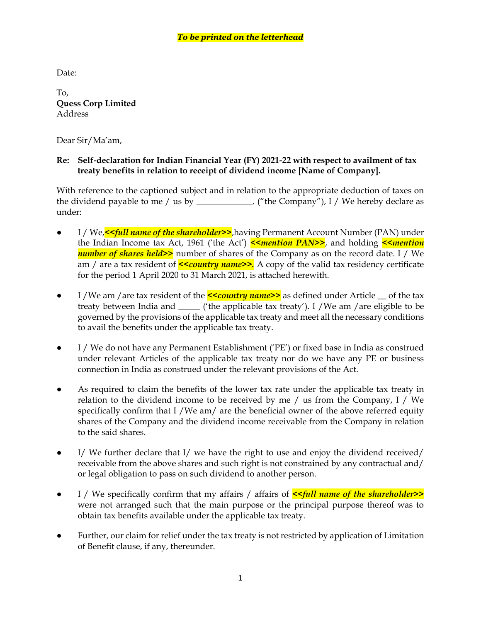Date:

To, **Quess Corp Limited** Address

Dear Sir/Ma'am,

## **Re: Self-declaration for Indian Financial Year (FY) 2021-22 with respect to availment of tax treaty benefits in relation to receipt of dividend income [Name of Company].**

With reference to the captioned subject and in relation to the appropriate deduction of taxes on the dividend payable to me / us by \_\_\_\_\_\_\_\_\_\_\_\_. ("the Company"), I / We hereby declare as under:

- I / We,*<<full name of the shareholder>>*,having Permanent Account Number (PAN) under the Indian Income tax Act, 1961 ('the Act') *<<mention PAN>>*, and holding *<<mention number of shares held>>* number of shares of the Company as on the record date. I / We am / are a tax resident of **<<country name>>.** A copy of the valid tax residency certificate for the period 1 April 2020 to 31 March 2021, is attached herewith.
- I /We am /are tax resident of the **<<country name>>** as defined under Article \_\_ of the tax treaty between India and \_\_\_\_\_ ('the applicable tax treaty'). I /We am /are eligible to be governed by the provisions of the applicable tax treaty and meet all the necessary conditions to avail the benefits under the applicable tax treaty.
- I / We do not have any Permanent Establishment ('PE') or fixed base in India as construed under relevant Articles of the applicable tax treaty nor do we have any PE or business connection in India as construed under the relevant provisions of the Act.
- As required to claim the benefits of the lower tax rate under the applicable tax treaty in relation to the dividend income to be received by me / us from the Company, I / We specifically confirm that I /We am/ are the beneficial owner of the above referred equity shares of the Company and the dividend income receivable from the Company in relation to the said shares.
- $\bullet$  I/ We further declare that I/ we have the right to use and enjoy the dividend received/ receivable from the above shares and such right is not constrained by any contractual and/ or legal obligation to pass on such dividend to another person.
- I / We specifically confirm that my affairs / affairs of *<<full name of the shareholder>>* were not arranged such that the main purpose or the principal purpose thereof was to obtain tax benefits available under the applicable tax treaty.
- Further, our claim for relief under the tax treaty is not restricted by application of Limitation of Benefit clause, if any, thereunder.